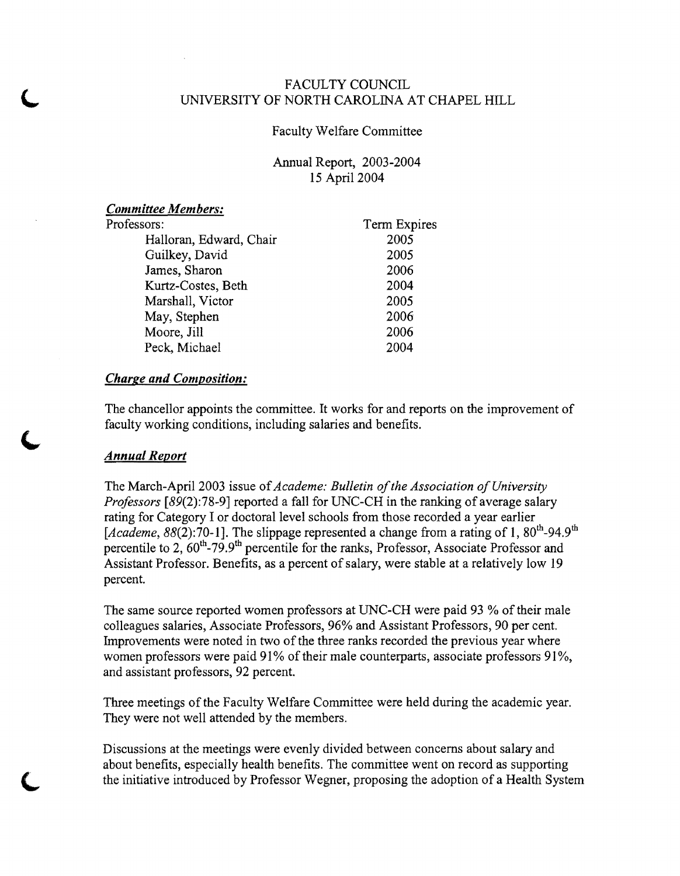# FACULTY COUNCIL UNIVERSITY OF NORTH CAROLINA AT CHAPEL HILL

### Faculty Welfare Committee

Annual Report, 2003-2004 15 April 2004

#### *Committee Members:*

| Professors:             | Term Expires |
|-------------------------|--------------|
| Halloran, Edward, Chair | 2005         |
| Guilkey, David          | 2005         |
| James, Sharon           | 2006         |
| Kurtz-Costes, Beth      | 2004         |
| Marshall, Victor        | 2005         |
| May, Stephen            | 2006         |
| Moore, Jill             | 2006         |
| Peck, Michael           | 2004         |

### *Charge and Composition:*

The chancellor appoints the committee. It works for and reports on the improvement of faculty working conditions, including salaries and benefits.

# *Annual Report*

The March-April 2003 issue of *Academe: Bulletin of the Association of University Professors* [89(2):78-9] reported a fall for UNC-CH in the ranking of average salary rating for Category I or doctoral level schools from those recorded a year earlier [Academe, 88(2):70-1]. The slippage represented a change from a rating of 1, 80<sup>th</sup>-94.9<sup>th</sup> percentile to 2,  $60^{th}$ -79.9<sup>th</sup> percentile for the ranks, Professor, Associate Professor and Assistant Professor. Benefits, as a percent of salary, were stable at a relatively low 19 percent.

The same source reported women professors at UNC-CH were paid 93 % of their male colleagues salaries, Associate Professors, 96% and Assistant Professors, 90 per cent. Improvements were noted in two of the three ranks recorded the previous year where women professors were paid  $91\%$  of their male counterparts, associate professors  $91\%$ , and assistant professors, 92 percent.

Three meetings of the Faculty Welfare Committee were held during the academic year. They were not well attended by the members.

Discussions at the meetings were evenly divided between concerns about salary and about benefits, especially health benefits. The committee went on record as supporting the initiative introduced by Professor Wegner, proposing the adoption of a Health System